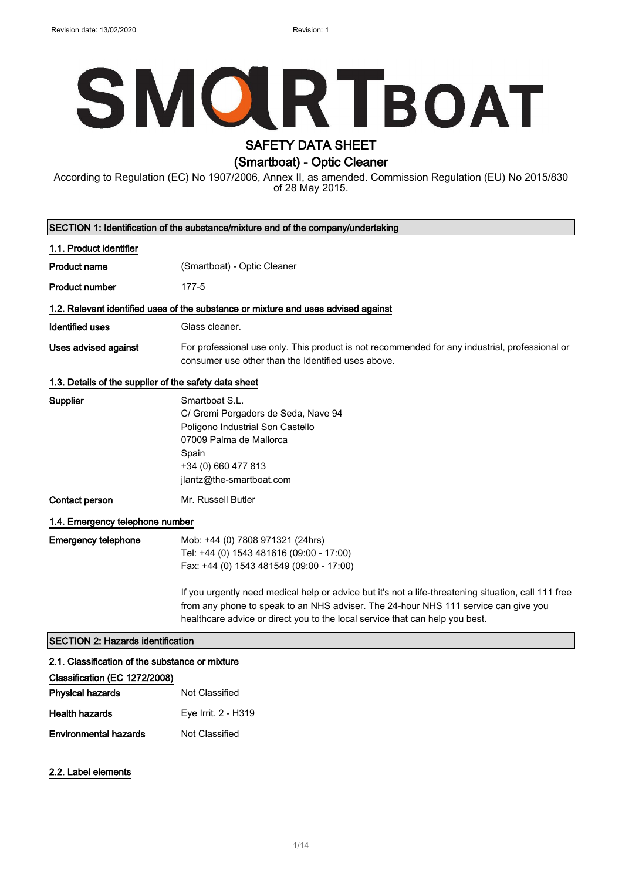# **SMOLRTBOAT**

# SAFETY DATA SHEET

(Smartboat) - Optic Cleaner

According to Regulation (EC) No 1907/2006, Annex II, as amended. Commission Regulation (EU) No 2015/830 of 28 May 2015.

| SECTION 1: Identification of the substance/mixture and of the company/undertaking |                                                                                                                                                                                                                                                                             |  |
|-----------------------------------------------------------------------------------|-----------------------------------------------------------------------------------------------------------------------------------------------------------------------------------------------------------------------------------------------------------------------------|--|
| 1.1. Product identifier                                                           |                                                                                                                                                                                                                                                                             |  |
| <b>Product name</b>                                                               | (Smartboat) - Optic Cleaner                                                                                                                                                                                                                                                 |  |
| <b>Product number</b>                                                             | 177-5                                                                                                                                                                                                                                                                       |  |
|                                                                                   | 1.2. Relevant identified uses of the substance or mixture and uses advised against                                                                                                                                                                                          |  |
| <b>Identified uses</b>                                                            | Glass cleaner.                                                                                                                                                                                                                                                              |  |
| <b>Uses advised against</b>                                                       | For professional use only. This product is not recommended for any industrial, professional or<br>consumer use other than the Identified uses above.                                                                                                                        |  |
| 1.3. Details of the supplier of the safety data sheet                             |                                                                                                                                                                                                                                                                             |  |
| Supplier                                                                          | Smartboat S.L.<br>C/ Gremi Porgadors de Seda, Nave 94<br>Poligono Industrial Son Castello<br>07009 Palma de Mallorca<br>Spain<br>+34 (0) 660 477 813<br>jlantz@the-smartboat.com                                                                                            |  |
| Contact person                                                                    | Mr. Russell Butler                                                                                                                                                                                                                                                          |  |
| 1.4. Emergency telephone number                                                   |                                                                                                                                                                                                                                                                             |  |
| <b>Emergency telephone</b>                                                        | Mob: +44 (0) 7808 971321 (24hrs)<br>Tel: +44 (0) 1543 481616 (09:00 - 17:00)<br>Fax: +44 (0) 1543 481549 (09:00 - 17:00)                                                                                                                                                    |  |
|                                                                                   | If you urgently need medical help or advice but it's not a life-threatening situation, call 111 free<br>from any phone to speak to an NHS adviser. The 24-hour NHS 111 service can give you<br>healthcare advice or direct you to the local service that can help you best. |  |
| <b>SECTION 2: Hazards identification</b>                                          |                                                                                                                                                                                                                                                                             |  |
| 2.1. Classification of the substance or mixture                                   |                                                                                                                                                                                                                                                                             |  |
|                                                                                   |                                                                                                                                                                                                                                                                             |  |

| Classification (EC 1272/2008) |                     |
|-------------------------------|---------------------|
| <b>Physical hazards</b>       | Not Classified      |
| <b>Health hazards</b>         | Eye Irrit. 2 - H319 |
| <b>Environmental hazards</b>  | Not Classified      |

#### 2.2. Label elements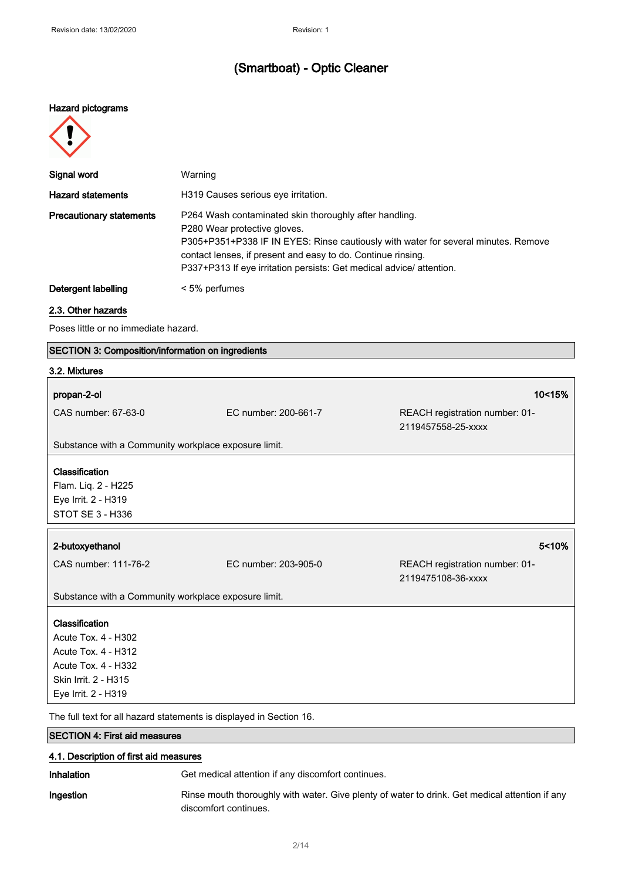#### Hazard pictograms



| Signal word                     | Warning                                                                                                                                                                                                                                                                                                              |
|---------------------------------|----------------------------------------------------------------------------------------------------------------------------------------------------------------------------------------------------------------------------------------------------------------------------------------------------------------------|
| <b>Hazard statements</b>        | H319 Causes serious eve irritation.                                                                                                                                                                                                                                                                                  |
| <b>Precautionary statements</b> | P264 Wash contaminated skin thoroughly after handling.<br>P280 Wear protective gloves.<br>P305+P351+P338 IF IN EYES: Rinse cautiously with water for several minutes. Remove<br>contact lenses, if present and easy to do. Continue rinsing.<br>P337+P313 If eye irritation persists: Get medical advice/ attention. |
| Detergent labelling             | < 5% perfumes                                                                                                                                                                                                                                                                                                        |

#### 2.3. Other hazards

Poses little or no immediate hazard.

#### SECTION 3: Composition/information on ingredients

#### 3.2. Mixtures

| propan-2-ol                                                                                                                        |                      | 10<15%                                               |
|------------------------------------------------------------------------------------------------------------------------------------|----------------------|------------------------------------------------------|
| CAS number: 67-63-0                                                                                                                | EC number: 200-661-7 | REACH registration number: 01-<br>2119457558-25-xxxx |
| Substance with a Community workplace exposure limit.                                                                               |                      |                                                      |
| Classification<br>Flam. Liq. 2 - H225<br>Eye Irrit. 2 - H319<br>STOT SE 3 - H336                                                   |                      |                                                      |
| 2-butoxyethanol                                                                                                                    |                      | 5 < 10%                                              |
| CAS number: 111-76-2                                                                                                               | EC number: 203-905-0 | REACH registration number: 01-<br>2119475108-36-xxxx |
| Substance with a Community workplace exposure limit.                                                                               |                      |                                                      |
| Classification<br>Acute Tox. 4 - H302<br>Acute Tox. 4 - H312<br>Acute Tox. 4 - H332<br>Skin Irrit. 2 - H315<br>Eye Irrit. 2 - H319 |                      |                                                      |
| The full text for all hazard statements is displayed in Section 16.                                                                |                      |                                                      |

SECTION 4: First aid measures

## 4.1. Description of first aid measures

Inhalation Get medical attention if any discomfort continues.

Ingestion Rinse mouth thoroughly with water. Give plenty of water to drink. Get medical attention if any discomfort continues.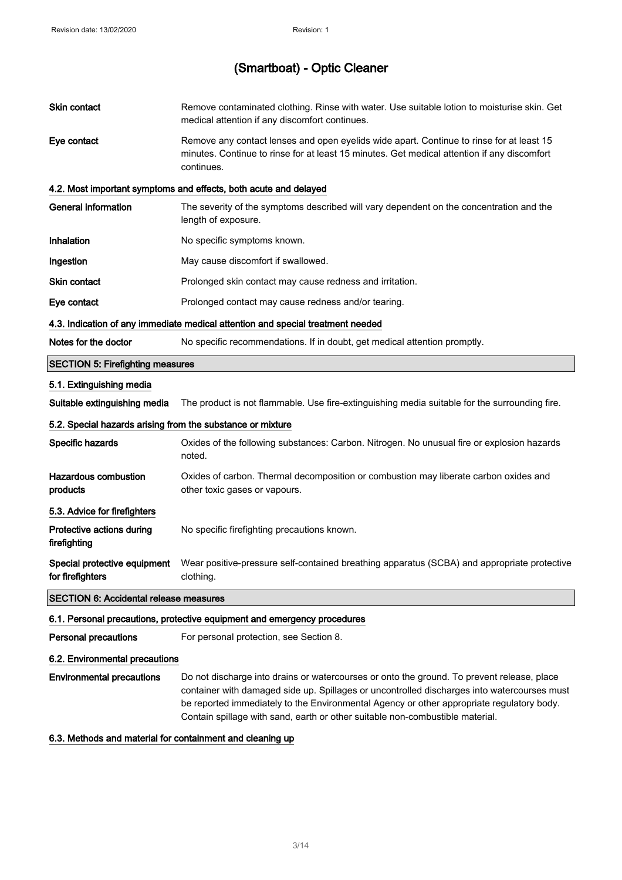| <b>Skin contact</b>                                        | Remove contaminated clothing. Rinse with water. Use suitable lotion to moisturise skin. Get<br>medical attention if any discomfort continues.                                                                                                                                                                                                                           |
|------------------------------------------------------------|-------------------------------------------------------------------------------------------------------------------------------------------------------------------------------------------------------------------------------------------------------------------------------------------------------------------------------------------------------------------------|
| Eye contact                                                | Remove any contact lenses and open eyelids wide apart. Continue to rinse for at least 15<br>minutes. Continue to rinse for at least 15 minutes. Get medical attention if any discomfort<br>continues.                                                                                                                                                                   |
|                                                            | 4.2. Most important symptoms and effects, both acute and delayed                                                                                                                                                                                                                                                                                                        |
| <b>General information</b>                                 | The severity of the symptoms described will vary dependent on the concentration and the<br>length of exposure.                                                                                                                                                                                                                                                          |
| Inhalation                                                 | No specific symptoms known.                                                                                                                                                                                                                                                                                                                                             |
| Ingestion                                                  | May cause discomfort if swallowed.                                                                                                                                                                                                                                                                                                                                      |
| Skin contact                                               | Prolonged skin contact may cause redness and irritation.                                                                                                                                                                                                                                                                                                                |
| Eye contact                                                | Prolonged contact may cause redness and/or tearing.                                                                                                                                                                                                                                                                                                                     |
|                                                            | 4.3. Indication of any immediate medical attention and special treatment needed                                                                                                                                                                                                                                                                                         |
| Notes for the doctor                                       | No specific recommendations. If in doubt, get medical attention promptly.                                                                                                                                                                                                                                                                                               |
| <b>SECTION 5: Firefighting measures</b>                    |                                                                                                                                                                                                                                                                                                                                                                         |
| 5.1. Extinguishing media                                   |                                                                                                                                                                                                                                                                                                                                                                         |
| Suitable extinguishing media                               | The product is not flammable. Use fire-extinguishing media suitable for the surrounding fire.                                                                                                                                                                                                                                                                           |
| 5.2. Special hazards arising from the substance or mixture |                                                                                                                                                                                                                                                                                                                                                                         |
| Specific hazards                                           | Oxides of the following substances: Carbon. Nitrogen. No unusual fire or explosion hazards<br>noted.                                                                                                                                                                                                                                                                    |
| <b>Hazardous combustion</b><br>products                    | Oxides of carbon. Thermal decomposition or combustion may liberate carbon oxides and<br>other toxic gases or vapours.                                                                                                                                                                                                                                                   |
| 5.3. Advice for firefighters                               |                                                                                                                                                                                                                                                                                                                                                                         |
| Protective actions during<br>firefighting                  | No specific firefighting precautions known.                                                                                                                                                                                                                                                                                                                             |
| Special protective equipment<br>for firefighters           | Wear positive-pressure self-contained breathing apparatus (SCBA) and appropriate protective<br>clothing.                                                                                                                                                                                                                                                                |
| <b>SECTION 6: Accidental release measures</b>              |                                                                                                                                                                                                                                                                                                                                                                         |
|                                                            | 6.1. Personal precautions, protective equipment and emergency procedures                                                                                                                                                                                                                                                                                                |
| <b>Personal precautions</b>                                | For personal protection, see Section 8.                                                                                                                                                                                                                                                                                                                                 |
| 6.2. Environmental precautions                             |                                                                                                                                                                                                                                                                                                                                                                         |
| <b>Environmental precautions</b>                           | Do not discharge into drains or watercourses or onto the ground. To prevent release, place<br>container with damaged side up. Spillages or uncontrolled discharges into watercourses must<br>be reported immediately to the Environmental Agency or other appropriate regulatory body.<br>Contain spillage with sand, earth or other suitable non-combustible material. |
| 6.3 Methods and material for containment and cleaning up   |                                                                                                                                                                                                                                                                                                                                                                         |

#### 6.3. Methods and material for containment and cleaning up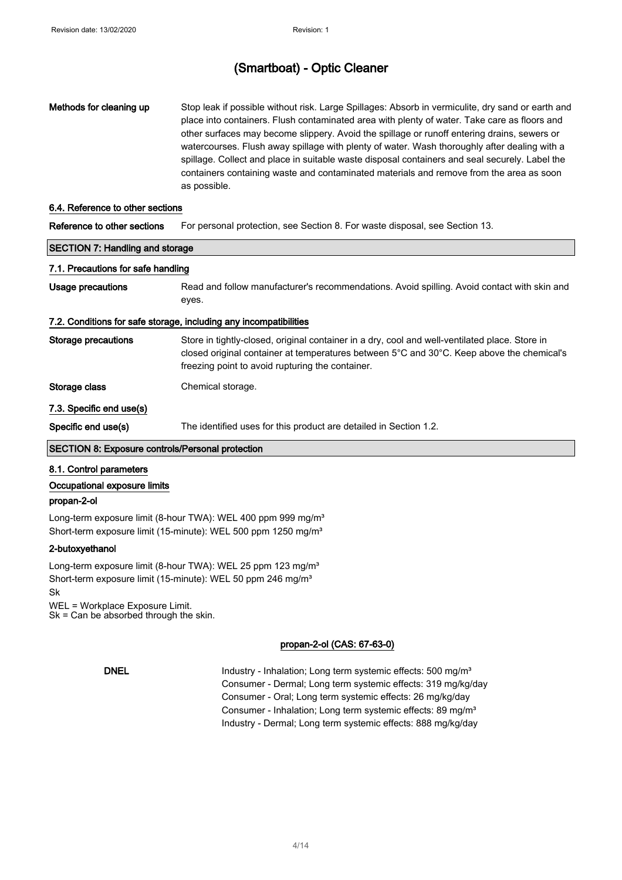| Methods for cleaning up                                           | Stop leak if possible without risk. Large Spillages: Absorb in vermiculite, dry sand or earth and<br>place into containers. Flush contaminated area with plenty of water. Take care as floors and<br>other surfaces may become slippery. Avoid the spillage or runoff entering drains, sewers or<br>watercourses. Flush away spillage with plenty of water. Wash thoroughly after dealing with a<br>spillage. Collect and place in suitable waste disposal containers and seal securely. Label the<br>containers containing waste and contaminated materials and remove from the area as soon<br>as possible. |  |
|-------------------------------------------------------------------|---------------------------------------------------------------------------------------------------------------------------------------------------------------------------------------------------------------------------------------------------------------------------------------------------------------------------------------------------------------------------------------------------------------------------------------------------------------------------------------------------------------------------------------------------------------------------------------------------------------|--|
| 6.4. Reference to other sections                                  |                                                                                                                                                                                                                                                                                                                                                                                                                                                                                                                                                                                                               |  |
| Reference to other sections                                       | For personal protection, see Section 8. For waste disposal, see Section 13.                                                                                                                                                                                                                                                                                                                                                                                                                                                                                                                                   |  |
| <b>SECTION 7: Handling and storage</b>                            |                                                                                                                                                                                                                                                                                                                                                                                                                                                                                                                                                                                                               |  |
| 7.1. Precautions for safe handling                                |                                                                                                                                                                                                                                                                                                                                                                                                                                                                                                                                                                                                               |  |
| Usage precautions                                                 | Read and follow manufacturer's recommendations. Avoid spilling. Avoid contact with skin and<br>eyes.                                                                                                                                                                                                                                                                                                                                                                                                                                                                                                          |  |
| 7.2. Conditions for safe storage, including any incompatibilities |                                                                                                                                                                                                                                                                                                                                                                                                                                                                                                                                                                                                               |  |
| <b>Storage precautions</b>                                        | Store in tightly-closed, original container in a dry, cool and well-ventilated place. Store in<br>closed original container at temperatures between 5°C and 30°C. Keep above the chemical's<br>freezing point to avoid rupturing the container.                                                                                                                                                                                                                                                                                                                                                               |  |
| Storage class                                                     | Chemical storage.                                                                                                                                                                                                                                                                                                                                                                                                                                                                                                                                                                                             |  |
| 7.3. Specific end use(s)                                          |                                                                                                                                                                                                                                                                                                                                                                                                                                                                                                                                                                                                               |  |
| Specific end use(s)                                               | The identified uses for this product are detailed in Section 1.2.                                                                                                                                                                                                                                                                                                                                                                                                                                                                                                                                             |  |
| <b>SECTION 8: Exposure controls/Personal protection</b>           |                                                                                                                                                                                                                                                                                                                                                                                                                                                                                                                                                                                                               |  |

#### 8.1. Control parameters

#### Occupational exposure limits

#### propan-2-ol

Long-term exposure limit (8-hour TWA): WEL 400 ppm 999 mg/m<sup>3</sup> Short-term exposure limit (15-minute): WEL 500 ppm 1250 mg/m<sup>3</sup>

#### 2-butoxyethanol

Long-term exposure limit (8-hour TWA): WEL 25 ppm 123 mg/m<sup>3</sup> Short-term exposure limit (15-minute): WEL 50 ppm 246 mg/m<sup>3</sup> Sk WEL = Workplace Exposure Limit.

Sk = Can be absorbed through the skin.

#### propan-2-ol (CAS: 67-63-0)

DNEL Industry - Inhalation; Long term systemic effects: 500 mg/m<sup>3</sup> Consumer - Dermal; Long term systemic effects: 319 mg/kg/day Consumer - Oral; Long term systemic effects: 26 mg/kg/day Consumer - Inhalation; Long term systemic effects: 89 mg/m<sup>3</sup> Industry - Dermal; Long term systemic effects: 888 mg/kg/day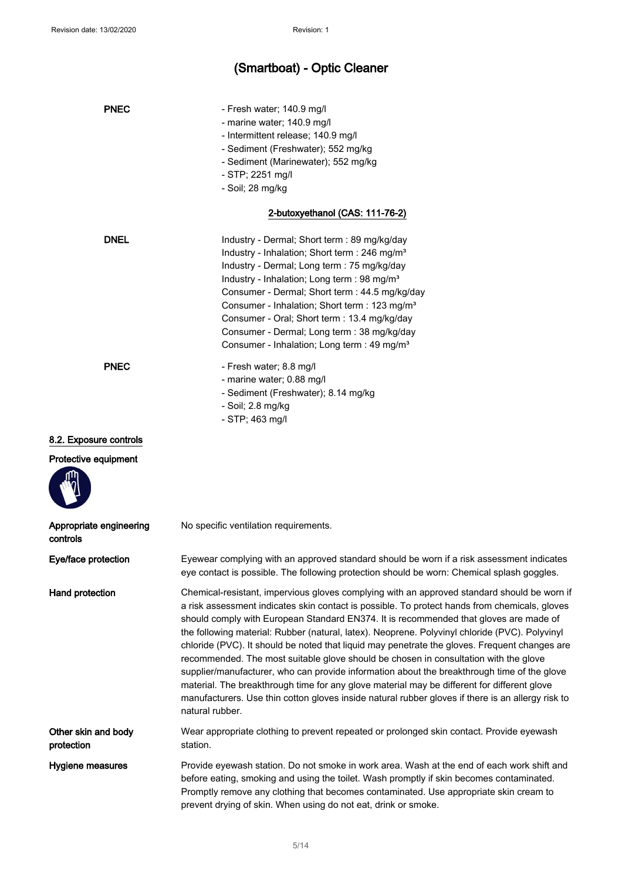| <b>PNEC</b>                         | - Fresh water; 140.9 mg/l<br>- marine water; 140.9 mg/l<br>- Intermittent release; 140.9 mg/l<br>- Sediment (Freshwater); 552 mg/kg<br>- Sediment (Marinewater); 552 mg/kg<br>- STP; 2251 mg/l<br>- Soil; 28 mg/kg                                                                                                                                                                                                                                                                                                                                                                                                                                                                                                                                                                                                                                                                                     |
|-------------------------------------|--------------------------------------------------------------------------------------------------------------------------------------------------------------------------------------------------------------------------------------------------------------------------------------------------------------------------------------------------------------------------------------------------------------------------------------------------------------------------------------------------------------------------------------------------------------------------------------------------------------------------------------------------------------------------------------------------------------------------------------------------------------------------------------------------------------------------------------------------------------------------------------------------------|
|                                     | 2-butoxyethanol (CAS: 111-76-2)                                                                                                                                                                                                                                                                                                                                                                                                                                                                                                                                                                                                                                                                                                                                                                                                                                                                        |
| <b>DNEL</b>                         | Industry - Dermal; Short term : 89 mg/kg/day<br>Industry - Inhalation; Short term : 246 mg/m <sup>3</sup><br>Industry - Dermal; Long term : 75 mg/kg/day<br>Industry - Inhalation; Long term : 98 mg/m <sup>3</sup><br>Consumer - Dermal; Short term : 44.5 mg/kg/day<br>Consumer - Inhalation; Short term : 123 mg/m <sup>3</sup><br>Consumer - Oral; Short term : 13.4 mg/kg/day<br>Consumer - Dermal; Long term : 38 mg/kg/day<br>Consumer - Inhalation; Long term : 49 mg/m <sup>3</sup>                                                                                                                                                                                                                                                                                                                                                                                                           |
| <b>PNEC</b>                         | - Fresh water; 8.8 mg/l<br>- marine water; 0.88 mg/l<br>- Sediment (Freshwater); 8.14 mg/kg<br>- Soil; 2.8 mg/kg<br>- STP; 463 mg/l                                                                                                                                                                                                                                                                                                                                                                                                                                                                                                                                                                                                                                                                                                                                                                    |
| 8.2. Exposure controls              |                                                                                                                                                                                                                                                                                                                                                                                                                                                                                                                                                                                                                                                                                                                                                                                                                                                                                                        |
| Protective equipment                |                                                                                                                                                                                                                                                                                                                                                                                                                                                                                                                                                                                                                                                                                                                                                                                                                                                                                                        |
| Appropriate engineering<br>controls | No specific ventilation requirements.                                                                                                                                                                                                                                                                                                                                                                                                                                                                                                                                                                                                                                                                                                                                                                                                                                                                  |
| Eye/face protection                 | Eyewear complying with an approved standard should be worn if a risk assessment indicates<br>eye contact is possible. The following protection should be worn: Chemical splash goggles.                                                                                                                                                                                                                                                                                                                                                                                                                                                                                                                                                                                                                                                                                                                |
| Hand protection                     | Chemical-resistant, impervious gloves complying with an approved standard should be worn if<br>a risk assessment indicates skin contact is possible. To protect hands from chemicals, gloves<br>should comply with European Standard EN374. It is recommended that gloves are made of<br>the following material: Rubber (natural, latex). Neoprene. Polyvinyl chloride (PVC). Polyvinyl<br>chloride (PVC). It should be noted that liquid may penetrate the gloves. Frequent changes are<br>recommended. The most suitable glove should be chosen in consultation with the glove<br>supplier/manufacturer, who can provide information about the breakthrough time of the glove<br>material. The breakthrough time for any glove material may be different for different glove<br>manufacturers. Use thin cotton gloves inside natural rubber gloves if there is an allergy risk to<br>natural rubber. |
| Other skin and body<br>protection   | Wear appropriate clothing to prevent repeated or prolonged skin contact. Provide eyewash<br>station.                                                                                                                                                                                                                                                                                                                                                                                                                                                                                                                                                                                                                                                                                                                                                                                                   |
| Hygiene measures                    | Provide eyewash station. Do not smoke in work area. Wash at the end of each work shift and<br>before eating, smoking and using the toilet. Wash promptly if skin becomes contaminated.<br>Promptly remove any clothing that becomes contaminated. Use appropriate skin cream to<br>prevent drying of skin. When using do not eat, drink or smoke.                                                                                                                                                                                                                                                                                                                                                                                                                                                                                                                                                      |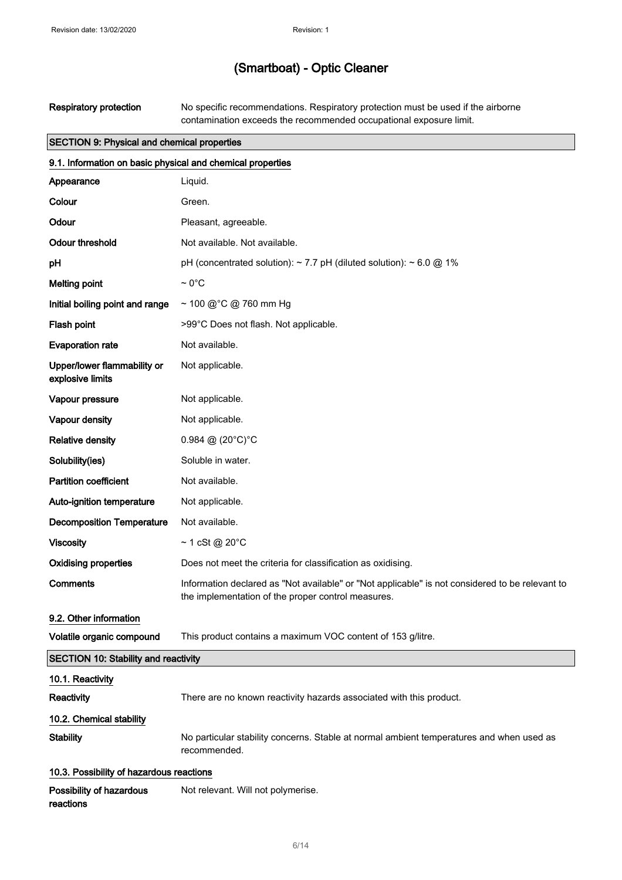Respiratory protection No specific recommendations. Respiratory protection must be used if the airborne contamination exceeds the recommended occupational exposure limit.

#### SECTION 9: Physical and chemical properties

| 9.1. Information on basic physical and chemical properties |                                                                                                                                                       |  |
|------------------------------------------------------------|-------------------------------------------------------------------------------------------------------------------------------------------------------|--|
| Appearance                                                 | Liquid.                                                                                                                                               |  |
| Colour                                                     | Green.                                                                                                                                                |  |
| Odour                                                      | Pleasant, agreeable.                                                                                                                                  |  |
| <b>Odour threshold</b>                                     | Not available. Not available.                                                                                                                         |  |
| pH                                                         | pH (concentrated solution): $\sim$ 7.7 pH (diluted solution): $\sim$ 6.0 @ 1%                                                                         |  |
| <b>Melting point</b>                                       | $\sim 0^{\circ}$ C                                                                                                                                    |  |
| Initial boiling point and range                            | ~ 100 @ °C @ 760 mm Hg                                                                                                                                |  |
| Flash point                                                | >99°C Does not flash. Not applicable.                                                                                                                 |  |
| <b>Evaporation rate</b>                                    | Not available.                                                                                                                                        |  |
| Upper/lower flammability or<br>explosive limits            | Not applicable.                                                                                                                                       |  |
| Vapour pressure                                            | Not applicable.                                                                                                                                       |  |
| Vapour density                                             | Not applicable.                                                                                                                                       |  |
| <b>Relative density</b>                                    | 0.984 @ $(20^{\circ}C)^{\circ}C$                                                                                                                      |  |
| Solubility(ies)                                            | Soluble in water.                                                                                                                                     |  |
| <b>Partition coefficient</b>                               | Not available.                                                                                                                                        |  |
| Auto-ignition temperature                                  | Not applicable.                                                                                                                                       |  |
| <b>Decomposition Temperature</b>                           | Not available.                                                                                                                                        |  |
| <b>Viscosity</b>                                           | $~1$ cSt @ 20°C                                                                                                                                       |  |
| <b>Oxidising properties</b>                                | Does not meet the criteria for classification as oxidising.                                                                                           |  |
| Comments                                                   | Information declared as "Not available" or "Not applicable" is not considered to be relevant to<br>the implementation of the proper control measures. |  |
| 9.2. Other information                                     |                                                                                                                                                       |  |
| Volatile organic compound                                  | This product contains a maximum VOC content of 153 g/litre.                                                                                           |  |
| <b>SECTION 10: Stability and reactivity</b>                |                                                                                                                                                       |  |
| 10.1. Reactivity                                           |                                                                                                                                                       |  |
| Reactivity                                                 | There are no known reactivity hazards associated with this product.                                                                                   |  |
| 10.2. Chemical stability                                   |                                                                                                                                                       |  |
| <b>Stability</b>                                           | No particular stability concerns. Stable at normal ambient temperatures and when used as<br>recommended.                                              |  |
| 10.3. Possibility of hazardous reactions                   |                                                                                                                                                       |  |
| Possibility of hazardous<br>reactions                      | Not relevant. Will not polymerise.                                                                                                                    |  |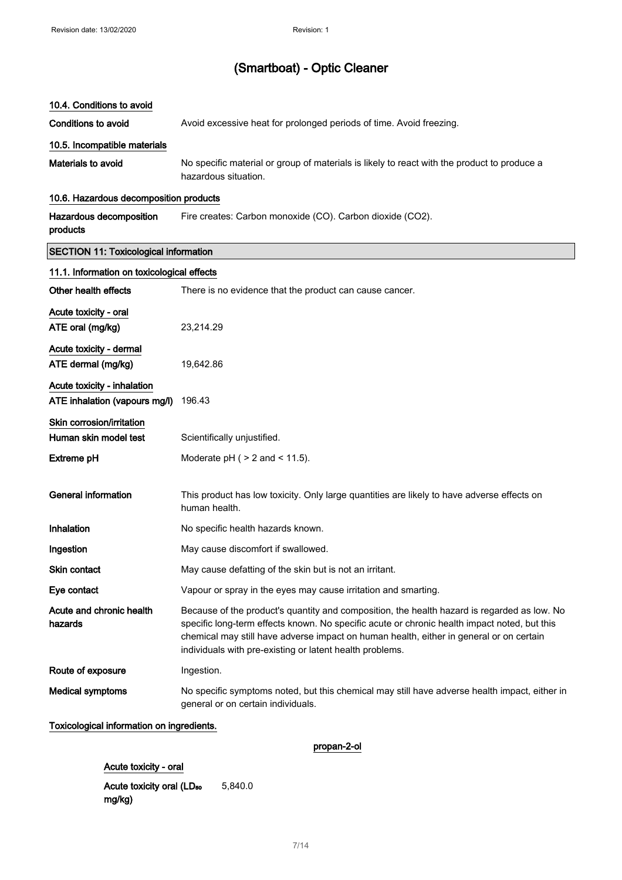#### 10.4. Conditions to avoid

Conditions to avoid **Avoid excessive heat for prolonged periods of time.** Avoid freezing.

#### 10.5. Incompatible materials

Materials to avoid No specific material or group of materials is likely to react with the product to produce a hazardous situation.

#### 10.6. Hazardous decomposition products

Hazardous decomposition products Fire creates: Carbon monoxide (CO). Carbon dioxide (CO2).

#### SECTION 11: Toxicological information

| 11.1. Information on toxicological effects                   |                                                                                                                                                                                                                                                                                                                                                    |  |
|--------------------------------------------------------------|----------------------------------------------------------------------------------------------------------------------------------------------------------------------------------------------------------------------------------------------------------------------------------------------------------------------------------------------------|--|
| Other health effects                                         | There is no evidence that the product can cause cancer.                                                                                                                                                                                                                                                                                            |  |
| Acute toxicity - oral                                        |                                                                                                                                                                                                                                                                                                                                                    |  |
| ATE oral (mg/kg)                                             | 23,214.29                                                                                                                                                                                                                                                                                                                                          |  |
| Acute toxicity - dermal<br>ATE dermal (mg/kg)                | 19,642.86                                                                                                                                                                                                                                                                                                                                          |  |
| Acute toxicity - inhalation<br>ATE inhalation (vapours mg/l) | 196.43                                                                                                                                                                                                                                                                                                                                             |  |
| Skin corrosion/irritation                                    |                                                                                                                                                                                                                                                                                                                                                    |  |
| Human skin model test                                        | Scientifically unjustified.                                                                                                                                                                                                                                                                                                                        |  |
| <b>Extreme pH</b>                                            | Moderate $pH$ ( $>$ 2 and $<$ 11.5).                                                                                                                                                                                                                                                                                                               |  |
| <b>General information</b>                                   | This product has low toxicity. Only large quantities are likely to have adverse effects on<br>human health.                                                                                                                                                                                                                                        |  |
| Inhalation                                                   | No specific health hazards known.                                                                                                                                                                                                                                                                                                                  |  |
| Ingestion                                                    | May cause discomfort if swallowed.                                                                                                                                                                                                                                                                                                                 |  |
| Skin contact                                                 | May cause defatting of the skin but is not an irritant.                                                                                                                                                                                                                                                                                            |  |
| Eye contact                                                  | Vapour or spray in the eyes may cause irritation and smarting.                                                                                                                                                                                                                                                                                     |  |
| Acute and chronic health<br>hazards                          | Because of the product's quantity and composition, the health hazard is regarded as low. No<br>specific long-term effects known. No specific acute or chronic health impact noted, but this<br>chemical may still have adverse impact on human health, either in general or on certain<br>individuals with pre-existing or latent health problems. |  |
| Route of exposure                                            | Ingestion.                                                                                                                                                                                                                                                                                                                                         |  |
| <b>Medical symptoms</b>                                      | No specific symptoms noted, but this chemical may still have adverse health impact, either in<br>general or on certain individuals.                                                                                                                                                                                                                |  |

#### Toxicological information on ingredients.

propan-2-ol

#### Acute toxicity - oral

Acute toxicity oral (LD<sub>50</sub> mg/kg) 5,840.0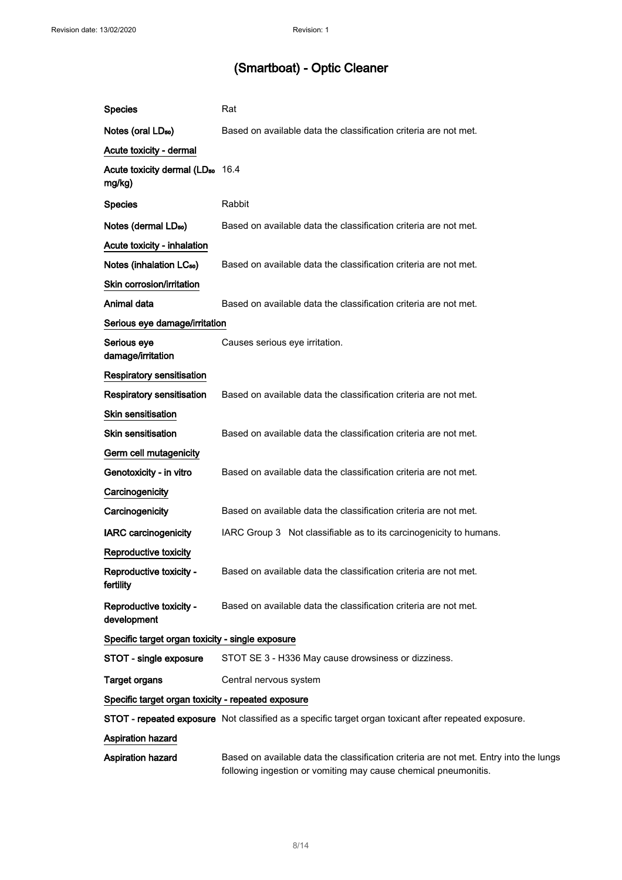$\mathcal{L}^{\mathcal{L}}$ 

## (Smartboat) - Optic Cleaner

| <b>Species</b>                                         | Rat                                                                                                                                                      |
|--------------------------------------------------------|----------------------------------------------------------------------------------------------------------------------------------------------------------|
| Notes (oral LD <sub>50</sub> )                         | Based on available data the classification criteria are not met.                                                                                         |
| Acute toxicity - dermal                                |                                                                                                                                                          |
| Acute toxicity dermal (LD <sub>50</sub> 16.4<br>mg/kg) |                                                                                                                                                          |
| <b>Species</b>                                         | Rabbit                                                                                                                                                   |
| Notes (dermal LD <sub>50</sub> )                       | Based on available data the classification criteria are not met.                                                                                         |
| Acute toxicity - inhalation                            |                                                                                                                                                          |
| Notes (inhalation LC <sub>50</sub> )                   | Based on available data the classification criteria are not met.                                                                                         |
| Skin corrosion/irritation                              |                                                                                                                                                          |
| Animal data                                            | Based on available data the classification criteria are not met.                                                                                         |
| Serious eye damage/irritation                          |                                                                                                                                                          |
| Serious eye<br>damage/irritation                       | Causes serious eye irritation.                                                                                                                           |
| <b>Respiratory sensitisation</b>                       |                                                                                                                                                          |
| <b>Respiratory sensitisation</b>                       | Based on available data the classification criteria are not met.                                                                                         |
| Skin sensitisation                                     |                                                                                                                                                          |
| <b>Skin sensitisation</b>                              | Based on available data the classification criteria are not met.                                                                                         |
| Germ cell mutagenicity                                 |                                                                                                                                                          |
| Genotoxicity - in vitro                                | Based on available data the classification criteria are not met.                                                                                         |
| Carcinogenicity                                        |                                                                                                                                                          |
| Carcinogenicity                                        | Based on available data the classification criteria are not met.                                                                                         |
| <b>IARC</b> carcinogenicity                            | IARC Group 3 Not classifiable as to its carcinogenicity to humans.                                                                                       |
| Reproductive toxicity                                  |                                                                                                                                                          |
| Reproductive toxicity -<br>fertility                   | Based on available data the classification criteria are not met.                                                                                         |
| Reproductive toxicity -<br>development                 | Based on available data the classification criteria are not met.                                                                                         |
| Specific target organ toxicity - single exposure       |                                                                                                                                                          |
| STOT - single exposure                                 | STOT SE 3 - H336 May cause drowsiness or dizziness.                                                                                                      |
| <b>Target organs</b>                                   | Central nervous system                                                                                                                                   |
| Specific target organ toxicity - repeated exposure     |                                                                                                                                                          |
|                                                        | STOT - repeated exposure Not classified as a specific target organ toxicant after repeated exposure.                                                     |
| <b>Aspiration hazard</b>                               |                                                                                                                                                          |
| Aspiration hazard                                      | Based on available data the classification criteria are not met. Entry into the lungs<br>following ingestion or vomiting may cause chemical pneumonitis. |
|                                                        |                                                                                                                                                          |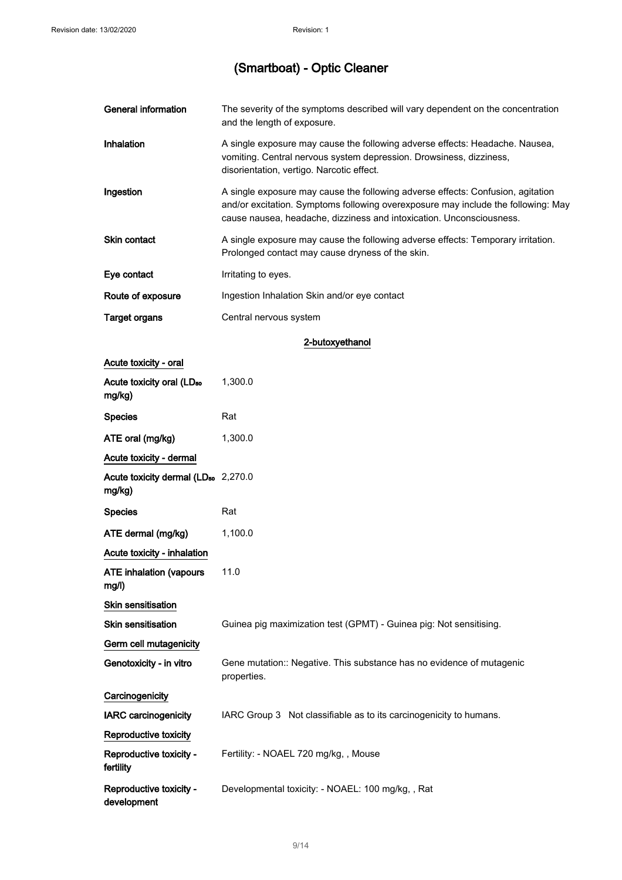| <b>General information</b>                                | The severity of the symptoms described will vary dependent on the concentration<br>and the length of exposure.                                                                                                                               |
|-----------------------------------------------------------|----------------------------------------------------------------------------------------------------------------------------------------------------------------------------------------------------------------------------------------------|
| Inhalation                                                | A single exposure may cause the following adverse effects: Headache. Nausea,<br>vomiting. Central nervous system depression. Drowsiness, dizziness,<br>disorientation, vertigo. Narcotic effect.                                             |
| Ingestion                                                 | A single exposure may cause the following adverse effects: Confusion, agitation<br>and/or excitation. Symptoms following overexposure may include the following: May<br>cause nausea, headache, dizziness and intoxication. Unconsciousness. |
| Skin contact                                              | A single exposure may cause the following adverse effects: Temporary irritation.<br>Prolonged contact may cause dryness of the skin.                                                                                                         |
| Eye contact                                               | Irritating to eyes.                                                                                                                                                                                                                          |
| Route of exposure                                         | Ingestion Inhalation Skin and/or eye contact                                                                                                                                                                                                 |
| <b>Target organs</b>                                      | Central nervous system                                                                                                                                                                                                                       |
|                                                           | 2-butoxyethanol                                                                                                                                                                                                                              |
| Acute toxicity - oral                                     |                                                                                                                                                                                                                                              |
| Acute toxicity oral (LD <sub>50</sub><br>mg/kg)           | 1,300.0                                                                                                                                                                                                                                      |
| <b>Species</b>                                            | Rat                                                                                                                                                                                                                                          |
| ATE oral (mg/kg)                                          | 1,300.0                                                                                                                                                                                                                                      |
| Acute toxicity - dermal                                   |                                                                                                                                                                                                                                              |
| Acute toxicity dermal (LD <sub>50</sub> 2,270.0<br>mg/kg) |                                                                                                                                                                                                                                              |
| <b>Species</b>                                            | Rat                                                                                                                                                                                                                                          |
| ATE dermal (mg/kg)                                        | 1,100.0                                                                                                                                                                                                                                      |
| Acute toxicity - inhalation                               |                                                                                                                                                                                                                                              |
| ATE inhalation (vapours<br>mg/l)                          | 11.0                                                                                                                                                                                                                                         |
| Skin sensitisation                                        |                                                                                                                                                                                                                                              |
| Skin sensitisation                                        | Guinea pig maximization test (GPMT) - Guinea pig: Not sensitising.                                                                                                                                                                           |
| Germ cell mutagenicity                                    |                                                                                                                                                                                                                                              |
| Genotoxicity - in vitro                                   | Gene mutation:: Negative. This substance has no evidence of mutagenic<br>properties.                                                                                                                                                         |
| Carcinogenicity                                           |                                                                                                                                                                                                                                              |
| <b>IARC</b> carcinogenicity                               | IARC Group 3 Not classifiable as to its carcinogenicity to humans.                                                                                                                                                                           |
| Reproductive toxicity                                     |                                                                                                                                                                                                                                              |
| Reproductive toxicity -<br>fertility                      | Fertility: - NOAEL 720 mg/kg,, Mouse                                                                                                                                                                                                         |
| Reproductive toxicity -<br>development                    | Developmental toxicity: - NOAEL: 100 mg/kg,, Rat                                                                                                                                                                                             |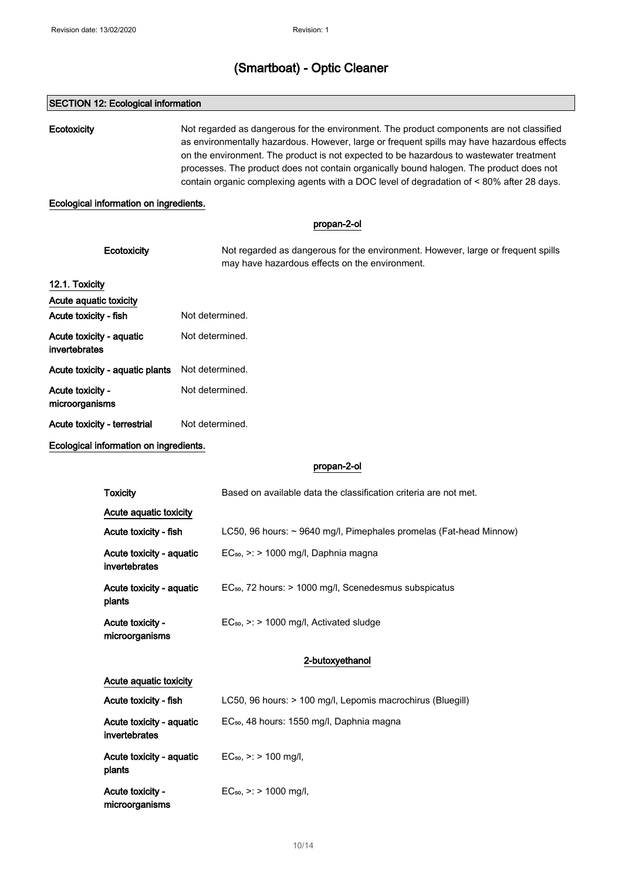#### SECTION 12: Ecological information

Ecotoxicity Not regarded as dangerous for the environment. The product components are not classified as environmentally hazardous. However, large or frequent spills may have hazardous effects on the environment. The product is not expected to be hazardous to wastewater treatment processes. The product does not contain organically bound halogen. The product does not contain organic complexing agents with a DOC level of degradation of < 80% after 28 days.

#### Ecological information on ingredients.

|                                           | propan-2-ol                                                                                                                        |
|-------------------------------------------|------------------------------------------------------------------------------------------------------------------------------------|
| Ecotoxicity                               | Not regarded as dangerous for the environment. However, large or frequent spills<br>may have hazardous effects on the environment. |
| 12.1. Toxicity                            |                                                                                                                                    |
| Acute aquatic toxicity                    |                                                                                                                                    |
| Acute toxicity - fish                     | Not determined.                                                                                                                    |
| Acute toxicity - aquatic<br>invertebrates | Not determined.                                                                                                                    |
| Acute toxicity - aquatic plants           | Not determined.                                                                                                                    |
| Acute toxicity -<br>microorganisms        | Not determined.                                                                                                                    |
| Acute toxicity - terrestrial              | Not determined.                                                                                                                    |

Ecological information on ingredients.

#### propan-2-ol

| Toxicity                                  | Based on available data the classification criteria are not met.        |  |  |
|-------------------------------------------|-------------------------------------------------------------------------|--|--|
| Acute aquatic toxicity                    |                                                                         |  |  |
| Acute toxicity - fish                     | LC50, 96 hours: $\sim$ 9640 mg/l, Pimephales promelas (Fat-head Minnow) |  |  |
| Acute toxicity - aquatic<br>invertebrates | $EC_{50}$ , $\geq$ : $>$ 1000 mg/l, Daphnia magna                       |  |  |
| Acute toxicity - aquatic<br>plants        | $EC_{50}$ , 72 hours: $> 1000$ mg/l, Scenedesmus subspicatus            |  |  |
| Acute toxicity -<br>microorganisms        | $EC_{50}$ , $\ge$ > 1000 mg/l, Activated sludge                         |  |  |
|                                           | 2-butoxyethanol                                                         |  |  |
| Acute aquatic toxicity                    |                                                                         |  |  |
| Acute toxicity - fish                     | LC50, 96 hours: > 100 mg/l, Lepomis macrochirus (Bluegill)              |  |  |
| Acute toxicity - aquatic<br>invertebrates | EC <sub>50</sub> , 48 hours: 1550 mg/l, Daphnia magna                   |  |  |
| Acute toxicity - aquatic<br>plants        | $EC_{50}$ , >: > 100 mg/l,                                              |  |  |

Acute toxicity microorganisms  $EC_{50}$ , >: > 1000 mg/l,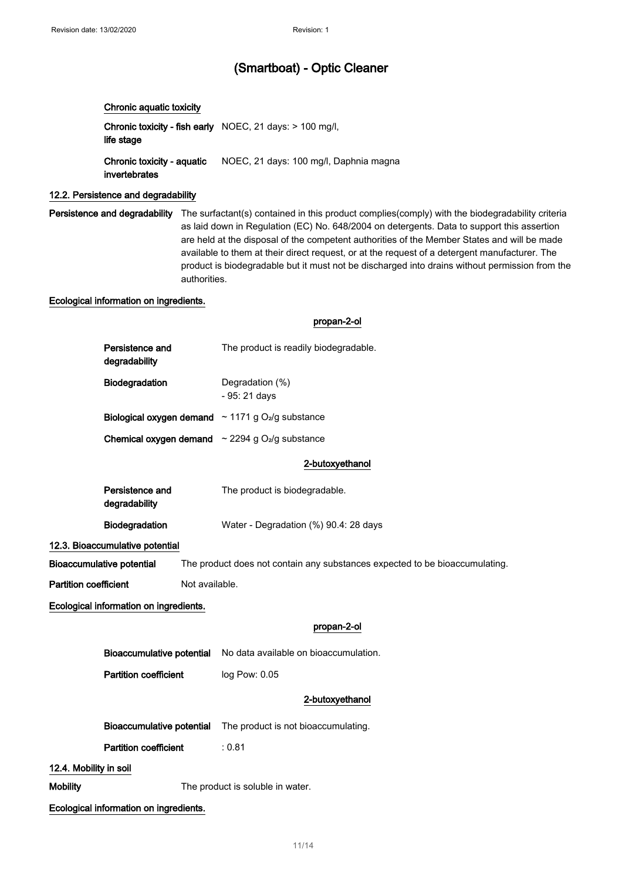#### Chronic aquatic toxicity

**Chronic toxicity - fish early** NOEC, 21 days: > 100 mg/l, life stage Chronic toxicity - aquatic invertebrates NOEC, 21 days: 100 mg/l, Daphnia magna

#### 12.2. Persistence and degradability

Persistence and degradability The surfactant(s) contained in this product complies(comply) with the biodegradability criteria as laid down in Regulation (EC) No. 648/2004 on detergents. Data to support this assertion are held at the disposal of the competent authorities of the Member States and will be made available to them at their direct request, or at the request of a detergent manufacturer. The product is biodegradable but it must not be discharged into drains without permission from the authorities.

#### Ecological information on ingredients.

propan-2-ol

| Persistence and<br>degradability                                                                                | The product is readily biodegradable. |  |  |  |  |  |
|-----------------------------------------------------------------------------------------------------------------|---------------------------------------|--|--|--|--|--|
| Biodegradation                                                                                                  | Degradation (%)<br>- 95: 21 days      |  |  |  |  |  |
| Biological oxygen demand $\sim$ 1171 g O <sub>2</sub> /g substance                                              |                                       |  |  |  |  |  |
| <b>Chemical oxygen demand</b> $\sim$ 2294 g O <sub>2</sub> /g substance                                         |                                       |  |  |  |  |  |
|                                                                                                                 | 2-butoxyethanol                       |  |  |  |  |  |
| Persistence and<br>degradability                                                                                | The product is biodegradable.         |  |  |  |  |  |
| Biodegradation                                                                                                  | Water - Degradation (%) 90.4: 28 days |  |  |  |  |  |
| 12.3. Bioaccumulative potential                                                                                 |                                       |  |  |  |  |  |
| <b>Bioaccumulative potential</b><br>The product does not contain any substances expected to be bioaccumulating. |                                       |  |  |  |  |  |
| <b>Partition coefficient</b><br>Not available.                                                                  |                                       |  |  |  |  |  |
| Ecological information on ingredients.                                                                          |                                       |  |  |  |  |  |
|                                                                                                                 | propan-2-ol                           |  |  |  |  |  |
| <b>Bioaccumulative potential</b>                                                                                | No data available on bioaccumulation. |  |  |  |  |  |
| <b>Partition coefficient</b>                                                                                    | log Pow: 0.05                         |  |  |  |  |  |
|                                                                                                                 | 2-butoxyethanol                       |  |  |  |  |  |
| <b>Bioaccumulative potential</b>                                                                                | The product is not bioaccumulating.   |  |  |  |  |  |
| <b>Partition coefficient</b>                                                                                    | : 0.81                                |  |  |  |  |  |

#### 12.4. Mobility in soil

Mobility **Mobility** The product is soluble in water.

Ecological information on ingredients.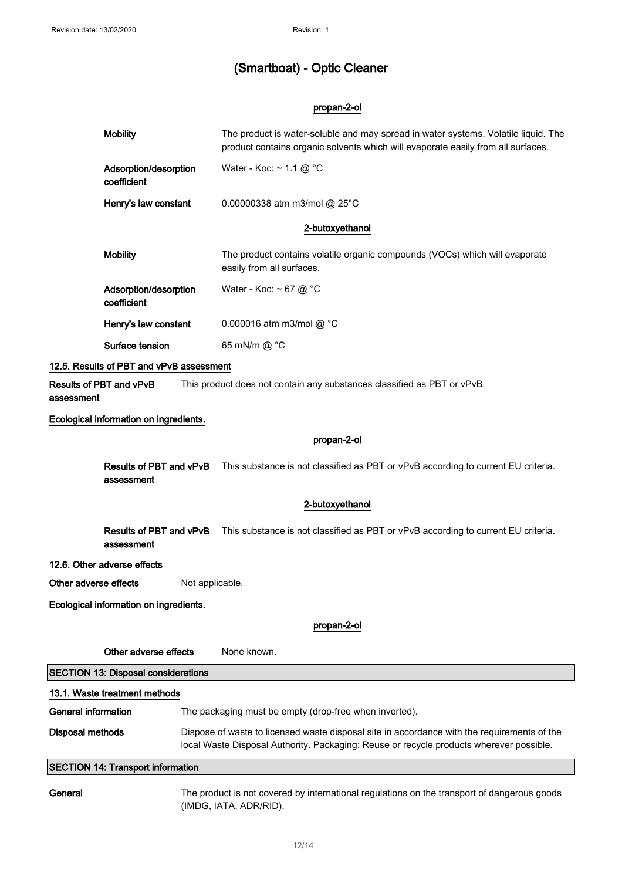#### propan-2-ol

|                                                                                                                  | <b>Mobility</b>                          |                                                                                                                                                                                        | The product is water-soluble and may spread in water systems. Volatile liquid. The<br>product contains organic solvents which will evaporate easily from all surfaces. |  |
|------------------------------------------------------------------------------------------------------------------|------------------------------------------|----------------------------------------------------------------------------------------------------------------------------------------------------------------------------------------|------------------------------------------------------------------------------------------------------------------------------------------------------------------------|--|
|                                                                                                                  | Adsorption/desorption<br>coefficient     |                                                                                                                                                                                        | Water - Koc: $\sim$ 1.1 @ °C                                                                                                                                           |  |
|                                                                                                                  | Henry's law constant                     |                                                                                                                                                                                        | 0.00000338 atm m3/mol @ 25°C                                                                                                                                           |  |
|                                                                                                                  |                                          |                                                                                                                                                                                        | 2-butoxyethanol                                                                                                                                                        |  |
|                                                                                                                  | <b>Mobility</b>                          |                                                                                                                                                                                        | The product contains volatile organic compounds (VOCs) which will evaporate<br>easily from all surfaces.                                                               |  |
|                                                                                                                  | Adsorption/desorption<br>coefficient     |                                                                                                                                                                                        | Water - Koc: $\sim$ 67 @ °C                                                                                                                                            |  |
|                                                                                                                  | Henry's law constant                     |                                                                                                                                                                                        | 0.000016 atm m3/mol @ °C                                                                                                                                               |  |
|                                                                                                                  | Surface tension                          |                                                                                                                                                                                        | 65 mN/m @ °C                                                                                                                                                           |  |
|                                                                                                                  | 12.5. Results of PBT and vPvB assessment |                                                                                                                                                                                        |                                                                                                                                                                        |  |
| Results of PBT and vPvB<br>This product does not contain any substances classified as PBT or vPvB.<br>assessment |                                          |                                                                                                                                                                                        |                                                                                                                                                                        |  |
|                                                                                                                  | Ecological information on ingredients.   |                                                                                                                                                                                        |                                                                                                                                                                        |  |
|                                                                                                                  |                                          |                                                                                                                                                                                        | propan-2-ol                                                                                                                                                            |  |
|                                                                                                                  | Results of PBT and vPvB<br>assessment    |                                                                                                                                                                                        | This substance is not classified as PBT or vPvB according to current EU criteria.                                                                                      |  |
|                                                                                                                  |                                          |                                                                                                                                                                                        | 2-butoxyethanol                                                                                                                                                        |  |
|                                                                                                                  | Results of PBT and vPvB<br>assessment    |                                                                                                                                                                                        | This substance is not classified as PBT or vPvB according to current EU criteria.                                                                                      |  |
|                                                                                                                  | 12.6. Other adverse effects              |                                                                                                                                                                                        |                                                                                                                                                                        |  |
|                                                                                                                  | Other adverse effects<br>Not applicable. |                                                                                                                                                                                        |                                                                                                                                                                        |  |
| Ecological information on ingredients.                                                                           |                                          |                                                                                                                                                                                        |                                                                                                                                                                        |  |
|                                                                                                                  |                                          |                                                                                                                                                                                        | propan-2-ol                                                                                                                                                            |  |
|                                                                                                                  | Other adverse effects                    |                                                                                                                                                                                        | None known.                                                                                                                                                            |  |
| <b>SECTION 13: Disposal considerations</b>                                                                       |                                          |                                                                                                                                                                                        |                                                                                                                                                                        |  |
| 13.1. Waste treatment methods                                                                                    |                                          |                                                                                                                                                                                        |                                                                                                                                                                        |  |
| <b>General information</b>                                                                                       |                                          | The packaging must be empty (drop-free when inverted).                                                                                                                                 |                                                                                                                                                                        |  |
| <b>Disposal methods</b>                                                                                          |                                          | Dispose of waste to licensed waste disposal site in accordance with the requirements of the<br>local Waste Disposal Authority. Packaging: Reuse or recycle products wherever possible. |                                                                                                                                                                        |  |
| <b>SECTION 14: Transport information</b>                                                                         |                                          |                                                                                                                                                                                        |                                                                                                                                                                        |  |
| General                                                                                                          |                                          | The product is not covered by international regulations on the transport of dangerous goods                                                                                            |                                                                                                                                                                        |  |

(IMDG, IATA, ADR/RID).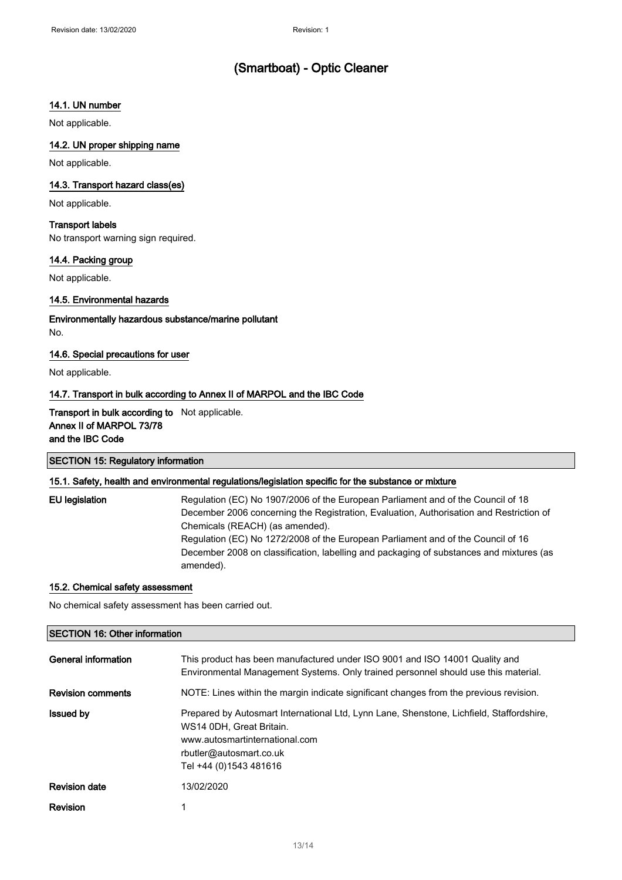#### 14.1. UN number

Not applicable.

## 14.2. UN proper shipping name

Not applicable.

#### 14.3. Transport hazard class(es)

Not applicable.

#### Transport labels

No transport warning sign required.

#### 14.4. Packing group

Not applicable.

#### 14.5. Environmental hazards

Environmentally hazardous substance/marine pollutant No.

#### 14.6. Special precautions for user

Not applicable.

#### 14.7. Transport in bulk according to Annex II of MARPOL and the IBC Code

#### Transport in bulk according to Not applicable. Annex II of MARPOL 73/78 and the IBC Code

#### SECTION 15: Regulatory information

#### 15.1. Safety, health and environmental regulations/legislation specific for the substance or mixture

EU legislation Regulation (EC) No 1907/2006 of the European Parliament and of the Council of 18 December 2006 concerning the Registration, Evaluation, Authorisation and Restriction of Chemicals (REACH) (as amended). Regulation (EC) No 1272/2008 of the European Parliament and of the Council of 16 December 2008 on classification, labelling and packaging of substances and mixtures (as amended).

#### 15.2. Chemical safety assessment

No chemical safety assessment has been carried out.

#### SECTION 16: Other information

| General information      | This product has been manufactured under ISO 9001 and ISO 14001 Quality and<br>Environmental Management Systems. Only trained personnel should use this material.                                           |
|--------------------------|-------------------------------------------------------------------------------------------------------------------------------------------------------------------------------------------------------------|
| <b>Revision comments</b> | NOTE: Lines within the margin indicate significant changes from the previous revision.                                                                                                                      |
| <b>Issued by</b>         | Prepared by Autosmart International Ltd, Lynn Lane, Shenstone, Lichfield, Staffordshire,<br>WS14 0DH. Great Britain.<br>www.autosmartinternational.com<br>rbutler@autosmart.co.uk<br>Tel +44 (0)1543 481616 |
| <b>Revision date</b>     | 13/02/2020                                                                                                                                                                                                  |
| <b>Revision</b>          |                                                                                                                                                                                                             |